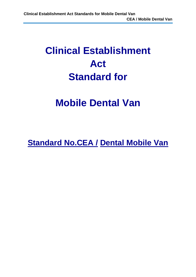## **Clinical Establishment Act Standard for**

## **Mobile Dental Van**

**Standard No.CEA / Dental Mobile Van**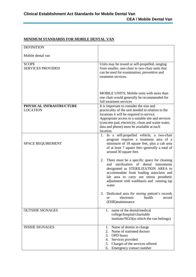| <b>DEFINITION</b>                          |                                                                                                                                                                                                                                                                                                                   |
|--------------------------------------------|-------------------------------------------------------------------------------------------------------------------------------------------------------------------------------------------------------------------------------------------------------------------------------------------------------------------|
| Mobile dental van                          |                                                                                                                                                                                                                                                                                                                   |
| <b>SCOPE</b><br><b>SERVICES PROVIDED</b>   | Units may be towed or self-propelled, ranging<br>from smaller, one-chair to two-chair units that<br>can be used for examination, preventive and<br>treatment services.                                                                                                                                            |
|                                            | MOBILE UNITS: Mobile units with more than<br>one chair would generally be recommended for<br>full treatment services                                                                                                                                                                                              |
| PHYSICAL INFRASTRUCTURE<br><b>LOCATION</b> | It is important to consider the size and<br>practicality of the unit needed in relation to the<br>locations it will be required to service.<br>Appropriate access to a suitable site and services<br>(concrete pad, electricity, clean and waste water,<br>data and phone) must be available at each<br>location. |
| <b>SPACE REQUIREMENT</b>                   | 1. In a self-propelled vehicle, a two-chair<br>program requires a treatment area of a<br>minimum of 18 square feet, plus a cab area<br>of at least 7 square feet--generally a total of<br>around 30 square feet.                                                                                                  |
|                                            | There must be a specific space for cleaning<br>2.<br>sterilisation of dental instruments<br>and<br>designated as STERILIZATION AREA to<br>accommodate front loading autoclave and<br>lab area to carry out minor prosthetic<br>adjustment with washbasin and running tap<br>water                                 |
|                                            | 3.<br>Dedicated area for storing patient's records<br>electronic<br>health<br>record<br><sub>or</sub><br>(EHR)maintenance                                                                                                                                                                                         |
| <b>OUTSIDE SIGNAGES</b>                    | name of the dental/medical<br>$\mathbf{1}_{\cdot}$<br>college/hospital/charitable<br>institute/NGO(to which the van belongs)                                                                                                                                                                                      |
| <b>INSIDE SIGNAGES</b>                     | Name of dentist in charge<br>1.<br>Name of stationed doctors<br>2.<br><b>OPD</b> hours<br>3.<br>Services provided<br>4.<br>Charges of the services offered<br>5.<br>Emergency contact number<br>6.                                                                                                                |

## **MINIMUM STANDARDS FOR MOBILE DENTAL VAN**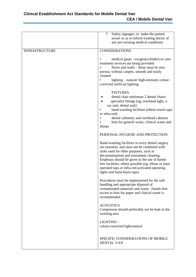|                       | 7. Safety signages: to make the patient<br>aware so as to inform treating doctor of<br>any pre existing medical conditions                                                                                                                                                                                                                                                     |
|-----------------------|--------------------------------------------------------------------------------------------------------------------------------------------------------------------------------------------------------------------------------------------------------------------------------------------------------------------------------------------------------------------------------|
| <b>INFRASTRUCTURE</b> | <b>CONSIDERATIONS</b>                                                                                                                                                                                                                                                                                                                                                          |
|                       | medical gases -oxygen(cylinder)-in case<br>treatment services are being provided<br>floors and walls – these must be non-<br>porous, without carpets, smooth and easily<br>cleaned<br>lighting – natural/high-intensity colour-<br>corrected artificial lighting                                                                                                               |
|                       | <b>FIXTURES</b><br>dental chair minimum 2 dental chairs.<br>specialist fittings (eg, overhead light, x-<br>ray unit, dental unit)<br>hand-washing facilities (elbow-touch taps<br>or infra-red)<br>dental cabinetry and overhead cabinets<br>bins for general waste, clinical waste and<br>sharps                                                                              |
|                       | PERSONAL HYGIENE AND PROTECTION                                                                                                                                                                                                                                                                                                                                                |
|                       | Hand-washing facilities in every dental surgery<br>are essential, and must not be combined with<br>sinks used for other purposes, such as<br>decontamination and instrument cleaning.<br>Emphasis should be given to the use of hands-<br>free facilities, where possible (eg, elbow or knee<br>operated taps or infra-red-activated operating<br>lights and hand-basin taps). |
|                       | Procedures must be implemented for the safe<br>handling and appropriate disposal of<br>contaminated materials and waste. Hands-free<br>access to bins for paper and clinical waste is<br>recommended                                                                                                                                                                           |
|                       | <b>ACOUSTICS</b><br>Compressor should preferably not be kept in the<br>working area                                                                                                                                                                                                                                                                                            |
|                       | <b>LIGHTING</b><br>colour-corrected light/natural                                                                                                                                                                                                                                                                                                                              |
|                       | SPECIFIC CONSIDERATIONS OF MOBILE<br><b>DENTAL VAN</b>                                                                                                                                                                                                                                                                                                                         |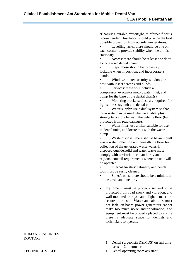Ĭ.

|                        | •Chassis: a durable, watertight, reinforced floor is<br>recommended. Insulation should provide the best<br>possible protection from outside temperatures.<br>Levelling jacks: there should be one on<br>each corner to provide stability when the unit is<br>stationary.<br>Access: there should be at least one door<br>for one -two dental chairs<br>Steps: these should be fold-away,<br>lockable when in position, and incorporate a<br>handrail.<br>Windows: tinted security windows are<br>best, with insect screens and blinds.<br>Services: these will include a<br>compressor, evacuator motor, water inlet, and<br>pump for the base of the dental chair(s).<br>Mounting brackets: these are required for<br>lights, the x-ray unit and dental unit.<br>Water supply: use a dual system so that<br>town water can be used when available, plus<br>storage tanks top/ beneath the vehicle floor (but<br>protected from road damage).<br>Water filter: use a filter suitable for use<br>in dental units, and locate this with the water<br>pump.<br>Waste disposal: there should be an inbuilt<br>waste water collection unit beneath the floor for<br>collection of the generated waste water. If<br>disposed outside, solid and water waste must<br>comply with territorial local authority and<br>regional council requirements where the unit will<br>be operated.<br>Internal finishes: cabinetry and bench<br>tops must be easily cleaned.<br>Sinks/basins: there should be a minimum<br>$\bullet$<br>of one clean and one dirty.<br>Equipment: must be properly secured to be<br>$\bullet$<br>protected from road shock and vibration, and<br>wall-mounted x-rays and lights must be<br>secure in-transit. Water and air lines must<br>not leak, on-board power generators cannot<br>make too much noise and/or vibration, and<br>equipment must be properly placed to ensure<br>there is adequate space for dentists and<br>technicians to operate. |
|------------------------|---------------------------------------------------------------------------------------------------------------------------------------------------------------------------------------------------------------------------------------------------------------------------------------------------------------------------------------------------------------------------------------------------------------------------------------------------------------------------------------------------------------------------------------------------------------------------------------------------------------------------------------------------------------------------------------------------------------------------------------------------------------------------------------------------------------------------------------------------------------------------------------------------------------------------------------------------------------------------------------------------------------------------------------------------------------------------------------------------------------------------------------------------------------------------------------------------------------------------------------------------------------------------------------------------------------------------------------------------------------------------------------------------------------------------------------------------------------------------------------------------------------------------------------------------------------------------------------------------------------------------------------------------------------------------------------------------------------------------------------------------------------------------------------------------------------------------------------------------------------------------------------------------------------------------------------------------------------------|
| <b>HUMAN RESOURCES</b> |                                                                                                                                                                                                                                                                                                                                                                                                                                                                                                                                                                                                                                                                                                                                                                                                                                                                                                                                                                                                                                                                                                                                                                                                                                                                                                                                                                                                                                                                                                                                                                                                                                                                                                                                                                                                                                                                                                                                                                     |
| <b>DOCTORS</b>         |                                                                                                                                                                                                                                                                                                                                                                                                                                                                                                                                                                                                                                                                                                                                                                                                                                                                                                                                                                                                                                                                                                                                                                                                                                                                                                                                                                                                                                                                                                                                                                                                                                                                                                                                                                                                                                                                                                                                                                     |
|                        | 1.                                                                                                                                                                                                                                                                                                                                                                                                                                                                                                                                                                                                                                                                                                                                                                                                                                                                                                                                                                                                                                                                                                                                                                                                                                                                                                                                                                                                                                                                                                                                                                                                                                                                                                                                                                                                                                                                                                                                                                  |
|                        | Dental surgeons (BDS/MDS) on full time<br>basis-1-2 in number                                                                                                                                                                                                                                                                                                                                                                                                                                                                                                                                                                                                                                                                                                                                                                                                                                                                                                                                                                                                                                                                                                                                                                                                                                                                                                                                                                                                                                                                                                                                                                                                                                                                                                                                                                                                                                                                                                       |
| <b>TECHNICAL STAFF</b> | Dental operating room assistant<br>1.                                                                                                                                                                                                                                                                                                                                                                                                                                                                                                                                                                                                                                                                                                                                                                                                                                                                                                                                                                                                                                                                                                                                                                                                                                                                                                                                                                                                                                                                                                                                                                                                                                                                                                                                                                                                                                                                                                                               |
|                        |                                                                                                                                                                                                                                                                                                                                                                                                                                                                                                                                                                                                                                                                                                                                                                                                                                                                                                                                                                                                                                                                                                                                                                                                                                                                                                                                                                                                                                                                                                                                                                                                                                                                                                                                                                                                                                                                                                                                                                     |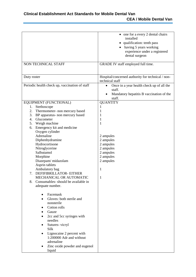| NON TECHNICAL STAFF                                                                                                                                                                                                                                                                                                                                                                                                                                                                                                                                                                                                                                                                                                                                                              | • one for a every 2 dental chairs<br>installed<br>• qualification: tenth pass<br>having 5 years working<br>experience under a registered<br>dental surgeon<br>GRADE IV staff employed full time. |
|----------------------------------------------------------------------------------------------------------------------------------------------------------------------------------------------------------------------------------------------------------------------------------------------------------------------------------------------------------------------------------------------------------------------------------------------------------------------------------------------------------------------------------------------------------------------------------------------------------------------------------------------------------------------------------------------------------------------------------------------------------------------------------|--------------------------------------------------------------------------------------------------------------------------------------------------------------------------------------------------|
| Duty roster                                                                                                                                                                                                                                                                                                                                                                                                                                                                                                                                                                                                                                                                                                                                                                      | Hospital/concerned authority for technical / non-<br>technical staff                                                                                                                             |
| Periodic health check up, vaccination of staff                                                                                                                                                                                                                                                                                                                                                                                                                                                                                                                                                                                                                                                                                                                                   | Once in a year health check up of all the<br>٠<br>staff.<br>Mandatory hepatitis B vaccination of the<br>$\bullet$<br>staff.                                                                      |
| EQUIPMENT (FUNCTIONAL)<br>Stethoscope<br>1.<br>2.<br>Thermometer- non mercury based<br>3. BP apparatus- non mercury based<br>4. Glucometer<br>5.<br>Weigh machine<br>Emergency kit and medicine<br>6.<br>Oxygen cylinder<br>Adrenaline<br>Diphenhydramine<br>Hydrocortisone<br>Nitroglycerine<br>Salbutamol<br>Morphine<br>Diazepam/midazolam<br>Asprin tablets<br>Ambulatory bag<br>DEFIFIBRILLATOR- EITHER<br>7.<br>MECHANICAL OR AUTOMATIC<br>Consumables-should be available in<br>8.<br>adequate number.<br>Facemask<br>Gloves: both sterile and<br>nonsterile<br>Cotton rolls<br>Gauze<br>2cc and 5cc syringes with<br>needles<br>Sutures-vicryl<br>Silk<br>Lignocaine 2 percent with<br>1:200000 Adr and without<br>adrenaline<br>Zinc oxide powder and eugenol<br>liquid | <b>QUANTITY</b><br>1<br>1<br>1<br>1<br>$\mathbf{1}$<br>2 ampules<br>2 ampules<br>2 ampules<br>2 ampules<br>2 ampules<br>2 ampules<br>2 ampules<br>$\mathbf{1}$<br>1                              |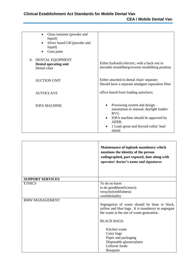| Glass ionomer (powder and<br>$\bullet$<br>liquid)<br>Silver based GIC (powder and<br>$\bullet$<br>liquid)<br>Gum paint |                                                                                                                                                                                  |
|------------------------------------------------------------------------------------------------------------------------|----------------------------------------------------------------------------------------------------------------------------------------------------------------------------------|
| 9. DENTAL EQUIPMENT<br>Dental operating unit<br>Dental chair                                                           | Either hydraulic/electric; with a back rest in<br>movable trendelberg/reverse trendelberg position                                                                               |
| <b>SUCTION UNIT</b>                                                                                                    | Either attached to dental chair/separate;<br>Should have a separate amalgam separation filter                                                                                    |
| <b>AUTOCLAVE</b>                                                                                                       | office-based front loading autoclave;                                                                                                                                            |
| <b>IOPA MACHINE</b>                                                                                                    | Processing system and design –<br>automation or manual; daylight loader/<br>RVG<br>IOPA machine should be approved by<br>AERB.<br>1 Lead apron and thyroid collar/lead<br>shield |

|                         | Maintenance of logbook mandatory which<br>mentions the identity of the person<br>radiographed, part exposed, date along with<br>operator/doctor's name and signatures |
|-------------------------|-----------------------------------------------------------------------------------------------------------------------------------------------------------------------|
| <b>SUPPORT SERVICES</b> |                                                                                                                                                                       |
| <b>ETHICS</b>           | To do no harm<br>to do good(beneficience)<br>veracity(truthfulness)<br>confidentiality                                                                                |
| <b>BMW MANAGEMENT</b>   | Segregation of waste should be done in black,<br>yellow and blue bags. It is mandatory to segregate<br>the waste at the site of waste generation.                     |
|                         | <b>BLACK BAGS:</b>                                                                                                                                                    |
|                         | Kitchen waste<br>Carry bags<br>Paper and packaging<br>Disposable glasses/plates<br>Leftover foods<br><b>B</b> ouquets                                                 |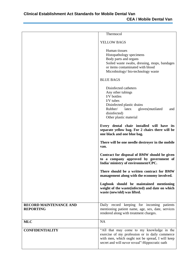|                                                   | Thermocol                                                                                                                                                                                         |
|---------------------------------------------------|---------------------------------------------------------------------------------------------------------------------------------------------------------------------------------------------------|
|                                                   |                                                                                                                                                                                                   |
|                                                   | YELLOW BAGS                                                                                                                                                                                       |
|                                                   | Human tissues<br>Histopathology specimens<br>Body parts and organs<br>Soiled waste swabs, dressing, mops, bandages<br>or items contaminated with blood<br>Microbiology/bio-technology waste       |
|                                                   | <b>BLUE BAGS</b>                                                                                                                                                                                  |
|                                                   | Disinfected catheters<br>Any other tubings<br>I/V bottles<br>I/V tubes<br>Disinfected plastic drains<br>Rubber/<br>latex<br>gloves(mutilated<br>and<br>disinfected)<br>Other plastic material     |
|                                                   | Every dental chair installed will have its<br>separate yellow bag. For 2 chairs there will be<br>one black and one blue bag.                                                                      |
|                                                   | There will be one needle destroyer in the mobile<br>van.                                                                                                                                          |
|                                                   | Contract for disposal of BMW should be given<br>to a company approved by government of<br>India/ministry of environment/CPC.                                                                      |
|                                                   | There should be a written contract for BMW<br>management along with the economy involved.                                                                                                         |
|                                                   | Logbook should be maintained mentioning<br>weight of the waste(infected) and date on which<br>waste (new/old) was lifted.                                                                         |
| <b>RECORD MAINTENANCE AND</b><br><b>REPORTING</b> | Daily record keeping for incoming patients<br>mentioning patient name, age, sex, date, services<br>rendered along with treatment charges.                                                         |
| <b>MLC</b>                                        | <b>NA</b>                                                                                                                                                                                         |
| <b>CONFIDENTIALITY</b>                            | "All that may come to my knowledge in the<br>exercise of my profession or in daily commerce<br>with men, which ought not be spread, I will keep<br>secret and will never reveal"-Hippocratic oath |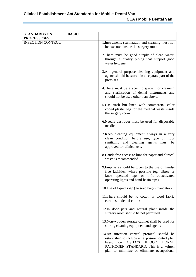| <b>STANDARDS ON</b><br><b>PROCESSESES</b> | <b>BASIC</b> |                                                                                                                                                                                                                                              |
|-------------------------------------------|--------------|----------------------------------------------------------------------------------------------------------------------------------------------------------------------------------------------------------------------------------------------|
| <b>INFECTION CONTROL</b>                  |              | 1. Instruments sterilization and cleaning must not<br>be executed inside the surgery room.                                                                                                                                                   |
|                                           |              | 2. There must be good supply of clean water,<br>through a quality piping that support good<br>water hygiene.                                                                                                                                 |
|                                           |              | 3.All general purpose cleaning equipment and<br>agents should be stored in a separate part of the<br>premises                                                                                                                                |
|                                           |              | 4. There must be a specific space for cleaning<br>and sterilisation of dental instruments and<br>should not be used other than above.                                                                                                        |
|                                           |              | 5. Use trash bin lined with commercial color<br>coded plastic bag for the medical waste inside<br>the surgery room.                                                                                                                          |
|                                           |              | 6. Needle destroyer must be used for disposable<br>needles                                                                                                                                                                                   |
|                                           |              | 7. Keep cleaning equipment always in a very<br>clean condition before use; type of floor<br>sanitizing and cleaning agents must be<br>approved for clinical use.                                                                             |
|                                           |              | 8. Hands-free access to bins for paper and clinical<br>waste is recommended                                                                                                                                                                  |
|                                           |              | 9. Emphasis should be given to the use of hands-<br>free facilities, where possible (eg, elbow or<br>knee operated taps or infra-red-activated<br>operating lights and hand-basin taps).                                                     |
|                                           |              | 10. Use of liquid soap (no soap bar) is mandatory                                                                                                                                                                                            |
|                                           |              | 11. There should be no cotton or wool fabric<br>curtains in dental clinics.                                                                                                                                                                  |
|                                           |              | 12. In door pets and natural plant inside the<br>surgery room should be not permitted                                                                                                                                                        |
|                                           |              | 13. Non-wooden storage cabinet shall be used for<br>storing cleaning equipment and agents                                                                                                                                                    |
|                                           |              | 14.An infection control protocol should be<br>established to include an exposure control plan<br>OSHA'S<br><b>BLOOD</b><br>based<br><b>BORNE</b><br>on<br>PATHOGEN STANDARD. This is a written<br>plan to minimize or eliminate occupational |